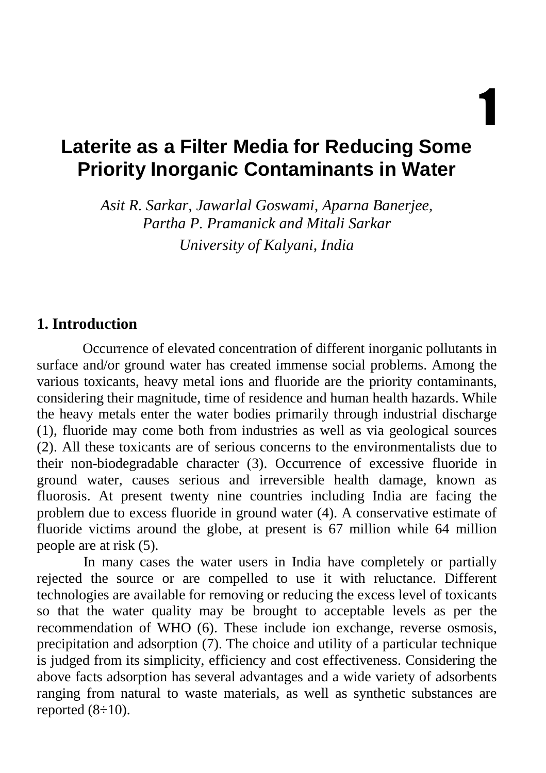1

# **Laterite as a Filter Media for Reducing Some Priority Inorganic Contaminants in Water**

*Asit R. Sarkar, Jawarlal Goswami, Aparna Banerjee, Partha P. Pramanick and Mitali Sarkar University of Kalyani, India* 

#### **1. Introduction**

Occurrence of elevated concentration of different inorganic pollutants in surface and/or ground water has created immense social problems. Among the various toxicants, heavy metal ions and fluoride are the priority contaminants, considering their magnitude, time of residence and human health hazards. While the heavy metals enter the water bodies primarily through industrial discharge (1), fluoride may come both from industries as well as via geological sources (2). All these toxicants are of serious concerns to the environmentalists due to their non-biodegradable character (3). Occurrence of excessive fluoride in ground water, causes serious and irreversible health damage, known as fluorosis. At present twenty nine countries including India are facing the problem due to excess fluoride in ground water (4). A conservative estimate of fluoride victims around the globe, at present is 67 million while 64 million people are at risk (5).

In many cases the water users in India have completely or partially rejected the source or are compelled to use it with reluctance. Different technologies are available for removing or reducing the excess level of toxicants so that the water quality may be brought to acceptable levels as per the recommendation of WHO (6). These include ion exchange, reverse osmosis, precipitation and adsorption (7). The choice and utility of a particular technique is judged from its simplicity, efficiency and cost effectiveness. Considering the above facts adsorption has several advantages and a wide variety of adsorbents ranging from natural to waste materials, as well as synthetic substances are reported  $(8\div 10)$ .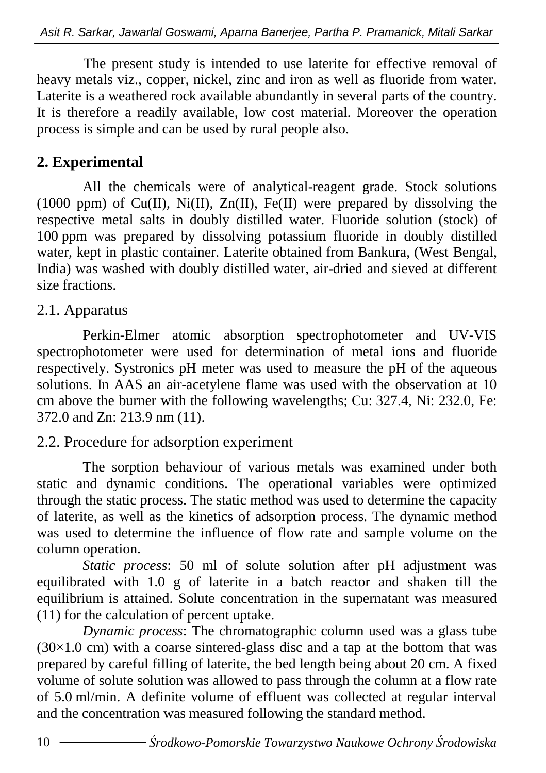The present study is intended to use laterite for effective removal of heavy metals viz., copper, nickel, zinc and iron as well as fluoride from water. Laterite is a weathered rock available abundantly in several parts of the country. It is therefore a readily available, low cost material. Moreover the operation process is simple and can be used by rural people also.

# **2. Experimental**

All the chemicals were of analytical-reagent grade. Stock solutions (1000 ppm) of Cu(II), Ni(II), Zn(II), Fe(II) were prepared by dissolving the respective metal salts in doubly distilled water. Fluoride solution (stock) of 100 ppm was prepared by dissolving potassium fluoride in doubly distilled water, kept in plastic container. Laterite obtained from Bankura, (West Bengal, India) was washed with doubly distilled water, air-dried and sieved at different size fractions.

### 2.1. Apparatus

Perkin-Elmer atomic absorption spectrophotometer and UV-VIS spectrophotometer were used for determination of metal ions and fluoride respectively. Systronics pH meter was used to measure the pH of the aqueous solutions. In AAS an air-acetylene flame was used with the observation at 10 cm above the burner with the following wavelengths; Cu: 327.4, Ni: 232.0, Fe: 372.0 and Zn: 213.9 nm (11).

#### 2.2. Procedure for adsorption experiment

The sorption behaviour of various metals was examined under both static and dynamic conditions. The operational variables were optimized through the static process. The static method was used to determine the capacity of laterite, as well as the kinetics of adsorption process. The dynamic method was used to determine the influence of flow rate and sample volume on the column operation.

*Static process*: 50 ml of solute solution after pH adjustment was equilibrated with 1.0 g of laterite in a batch reactor and shaken till the equilibrium is attained. Solute concentration in the supernatant was measured (11) for the calculation of percent uptake.

*Dynamic process*: The chromatographic column used was a glass tube  $(30\times1.0 \text{ cm})$  with a coarse sintered-glass disc and a tap at the bottom that was prepared by careful filling of laterite, the bed length being about 20 cm. A fixed volume of solute solution was allowed to pass through the column at a flow rate of 5.0 ml/min. A definite volume of effluent was collected at regular interval and the concentration was measured following the standard method.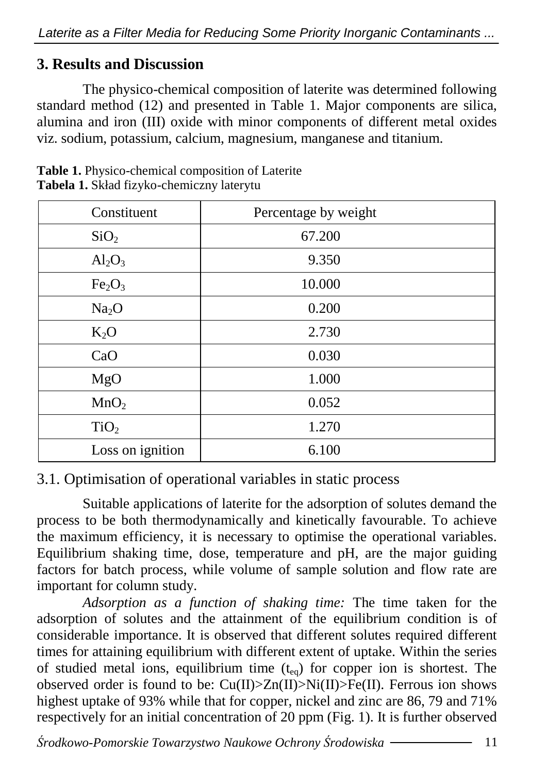# **3. Results and Discussion**

The physico-chemical composition of laterite was determined following standard method (12) and presented in Table 1. Major components are silica, alumina and iron (III) oxide with minor components of different metal oxides viz. sodium, potassium, calcium, magnesium, manganese and titanium.

| Constituent                    | Percentage by weight |  |  |
|--------------------------------|----------------------|--|--|
| SiO <sub>2</sub>               | 67.200               |  |  |
| $Al_2O_3$                      | 9.350                |  |  |
| Fe <sub>2</sub> O <sub>3</sub> | 10.000               |  |  |
| Na <sub>2</sub> O              | 0.200                |  |  |
| $K_2O$                         | 2.730                |  |  |
| CaO                            | 0.030                |  |  |
| MgO                            | 1.000                |  |  |
| MnO <sub>2</sub>               | 0.052                |  |  |
| TiO <sub>2</sub>               | 1.270                |  |  |
| Loss on ignition               | 6.100                |  |  |

**Table 1.** Physico-chemical composition of Laterite **Tabela 1.** Skład fizyko-chemiczny laterytu

## 3.1. Optimisation of operational variables in static process

Suitable applications of laterite for the adsorption of solutes demand the process to be both thermodynamically and kinetically favourable. To achieve the maximum efficiency, it is necessary to optimise the operational variables. Equilibrium shaking time, dose, temperature and pH, are the major guiding factors for batch process, while volume of sample solution and flow rate are important for column study.

*Adsorption as a function of shaking time:* The time taken for the adsorption of solutes and the attainment of the equilibrium condition is of considerable importance. It is observed that different solutes required different times for attaining equilibrium with different extent of uptake. Within the series of studied metal ions, equilibrium time  $(t_{eq})$  for copper ion is shortest. The observed order is found to be:  $Cu(II) > Zn(II) > Ni(II) > Fe(II)$ . Ferrous ion shows highest uptake of 93% while that for copper, nickel and zinc are 86, 79 and 71% respectively for an initial concentration of 20 ppm (Fig. 1). It is further observed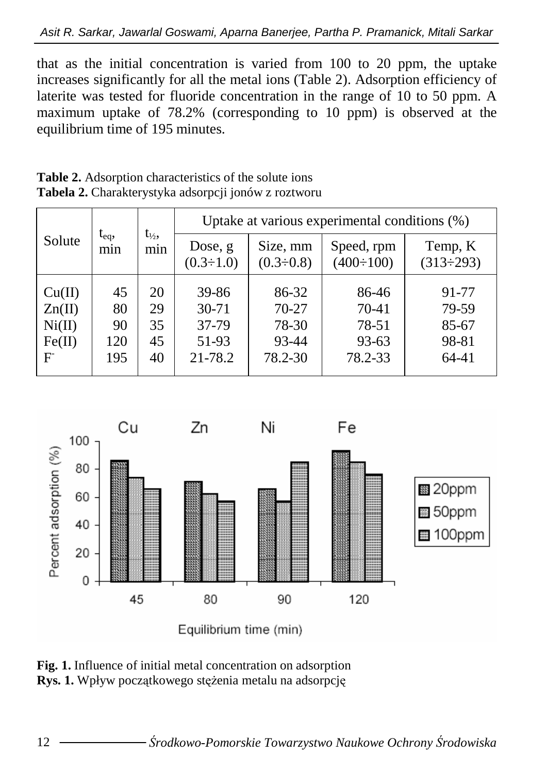that as the initial concentration is varied from 100 to 20 ppm, the uptake increases significantly for all the metal ions (Table 2). Adsorption efficiency of laterite was tested for fluoride concentration in the range of 10 to 50 ppm. A maximum uptake of 78.2% (corresponding to 10 ppm) is observed at the equilibrium time of 195 minutes.

| Solute | $t_{eq}$<br>mnn |                          | Uptake at various experimental conditions (%) |                              |                                |                             |
|--------|-----------------|--------------------------|-----------------------------------------------|------------------------------|--------------------------------|-----------------------------|
|        |                 | $t_{\frac{1}{2}}$<br>mnn | Dose, g<br>$(0.3 \div 1.0)$                   | Size, mm<br>$(0.3 \div 0.8)$ | Speed, rpm<br>$(400 \div 100)$ | Temp, K<br>$(313 \div 293)$ |
| Cu(II) | 45              | 20                       | 39-86                                         | 86-32                        | 86-46                          | 91-77                       |
|        |                 |                          |                                               |                              |                                |                             |
| Zn(II) | 80              | 29                       | $30 - 71$                                     | 70-27                        | 70-41                          | 79-59                       |
| Ni(II) | 90              | 35                       | 37-79                                         | 78-30                        | 78-51                          | 85-67                       |
| Fe(II) | 120             | 45                       | 51-93                                         | 93-44                        | 93-63                          | 98-81                       |
| F      | 195             | 40                       | 21-78.2                                       | 78.2-30                      | 78.2-33                        | 64-41                       |

**Table 2.** Adsorption characteristics of the solute ions **Tabela 2.** Charakterystyka adsorpcji jonów z roztworu



**Fig. 1.** Influence of initial metal concentration on adsorption **Rys. 1.** Wpływ początkowego stężenia metalu na adsorpcję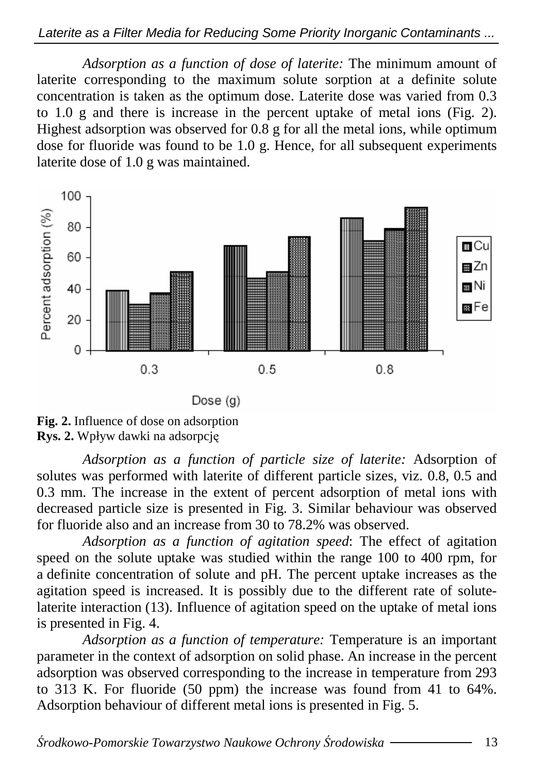#### Laterite as a Filter Media for Reducing Some Priority Inorganic Contaminants ...

*Adsorption as a function of dose of laterite:* The minimum amount of laterite corresponding to the maximum solute sorption at a definite solute concentration is taken as the optimum dose. Laterite dose was varied from 0.3 to 1.0 g and there is increase in the percent uptake of metal ions (Fig. 2). Highest adsorption was observed for  $0.8 \text{ g}$  for all the metal ions, while optimum dose for fluoride was found to be  $1.0$  g. Hence, for all subsequent experiments laterite dose of 1.0 g was maintained.



**Fig. 2.** Influence of dose on adsorption **Rys. 2.** Wpływ dawki na adsorpcję

*Adsorption as a function of particle size of laterite:* Adsorption of solutes was performed with laterite of different particle sizes, viz. 0.8, 0.5 and 0.3 mm. The increase in the extent of percent adsorption of metal ions with decreased particle size is presented in Fig. 3. Similar behaviour was observed for fluoride also and an increase from 30 to 78.2% was observed.

*Adsorption as a function of agitation speed*: The effect of agitation speed on the solute uptake was studied within the range 100 to 400 rpm, for a definite concentration of solute and pH. The percent uptake increases as the agitation speed is increased. It is possibly due to the different rate of solutelaterite interaction (13). Influence of agitation speed on the uptake of metal ions is presented in Fig. 4.

*Adsorption as a function of temperature:* Temperature is an important parameter in the context of adsorption on solid phase. An increase in the percent adsorption was observed corresponding to the increase in temperature from 293 to 313 K. For fluoride (50 ppm) the increase was found from 41 to 64%. Adsorption behaviour of different metal ions is presented in Fig. 5.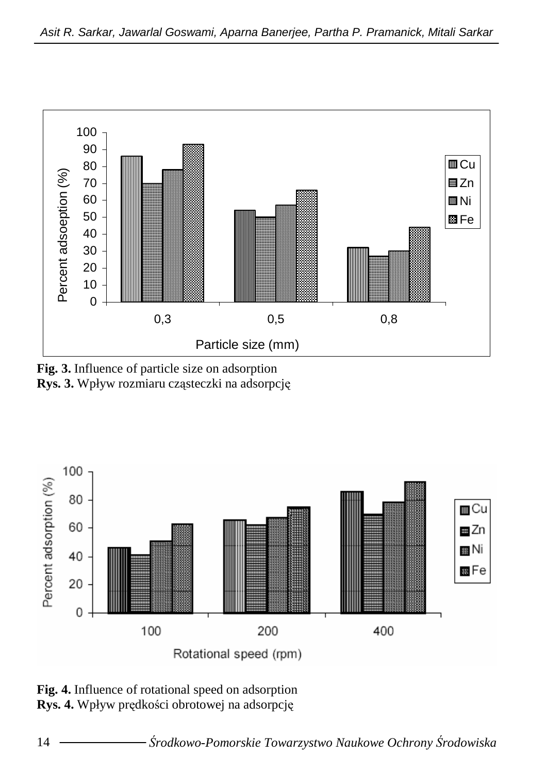

**Fig. 3.** Influence of particle size on adsorption **Rys. 3.** Wpływ rozmiaru cząsteczki na adsorpcję



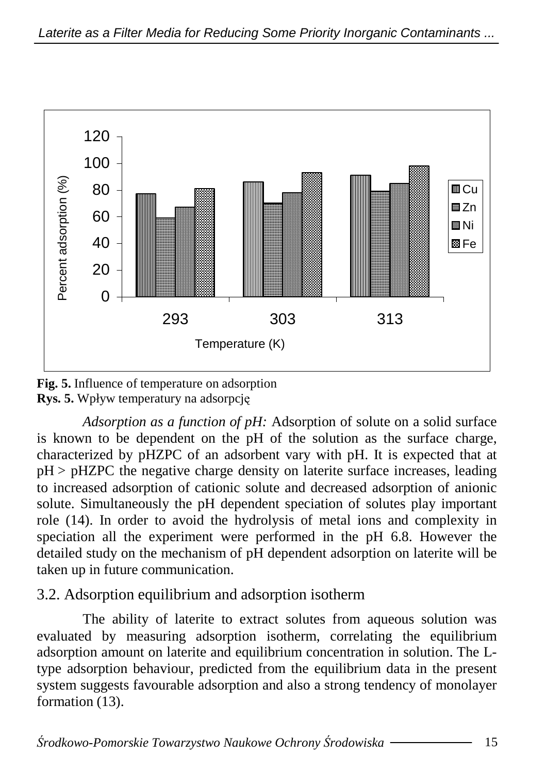

**Fig. 5.** Influence of temperature on adsorption **Rys. 5.** Wpływ temperatury na adsorpcję

*Adsorption as a function of pH:* Adsorption of solute on a solid surface is known to be dependent on the pH of the solution as the surface charge, characterized by pHZPC of an adsorbent vary with pH. It is expected that at pH > pHZPC the negative charge density on laterite surface increases, leading to increased adsorption of cationic solute and decreased adsorption of anionic solute. Simultaneously the pH dependent speciation of solutes play important role (14). In order to avoid the hydrolysis of metal ions and complexity in speciation all the experiment were performed in the pH 6.8. However the detailed study on the mechanism of pH dependent adsorption on laterite will be taken up in future communication.

3.2. Adsorption equilibrium and adsorption isotherm

The ability of laterite to extract solutes from aqueous solution was evaluated by measuring adsorption isotherm, correlating the equilibrium adsorption amount on laterite and equilibrium concentration in solution. The Ltype adsorption behaviour, predicted from the equilibrium data in the present system suggests favourable adsorption and also a strong tendency of monolayer formation  $(13)$ .

Ś*rodkowo-Pomorskie Towarzystwo Naukowe Ochrony* Ś*rodowiska* 15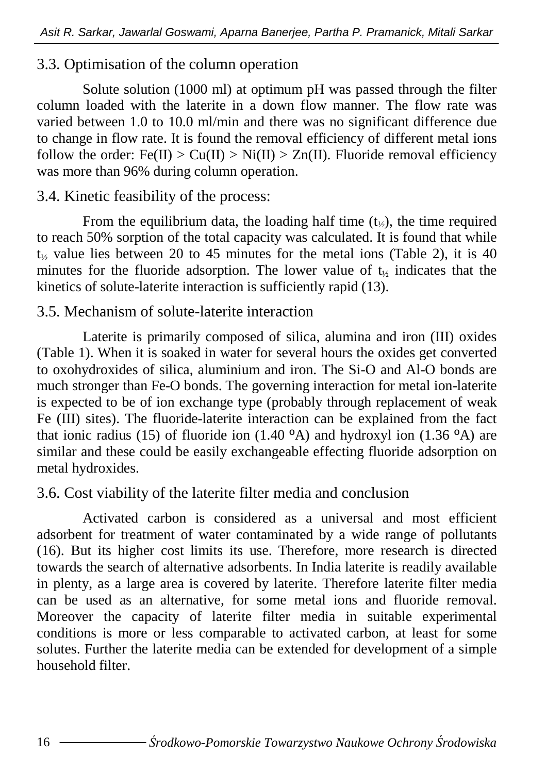## 3.3. Optimisation of the column operation

Solute solution (1000 ml) at optimum pH was passed through the filter column loaded with the laterite in a down flow manner. The flow rate was varied between 1.0 to 10.0 ml/min and there was no significant difference due to change in flow rate. It is found the removal efficiency of different metal ions follow the order:  $Fe(II) > Cu(II) > Ni(II) > Zn(II)$ . Fluoride removal efficiency was more than 96% during column operation.

## 3.4. Kinetic feasibility of the process:

From the equilibrium data, the loading half time  $(t_{1/2})$ , the time required to reach 50% sorption of the total capacity was calculated. It is found that while  $t<sub>1</sub>$ , value lies between 20 to 45 minutes for the metal ions (Table 2), it is 40 minutes for the fluoride adsorption. The lower value of  $t_{\gamma}$  indicates that the kinetics of solute-laterite interaction is sufficiently rapid (13).

## 3.5. Mechanism of solute-laterite interaction

Laterite is primarily composed of silica, alumina and iron (III) oxides (Table 1). When it is soaked in water for several hours the oxides get converted to oxohydroxides of silica, aluminium and iron. The Si-O and Al-O bonds are much stronger than Fe-O bonds. The governing interaction for metal ion-laterite is expected to be of ion exchange type (probably through replacement of weak Fe (III) sites). The fluoride-laterite interaction can be explained from the fact that ionic radius (15) of fluoride ion (1.40 $^{\circ}$ A) and hydroxyl ion (1.36 $^{\circ}$ A) are similar and these could be easily exchangeable effecting fluoride adsorption on metal hydroxides.

# 3.6. Cost viability of the laterite filter media and conclusion

Activated carbon is considered as a universal and most efficient adsorbent for treatment of water contaminated by a wide range of pollutants (16). But its higher cost limits its use. Therefore, more research is directed towards the search of alternative adsorbents. In India laterite is readily available in plenty, as a large area is covered by laterite. Therefore laterite filter media can be used as an alternative, for some metal ions and fluoride removal. Moreover the capacity of laterite filter media in suitable experimental conditions is more or less comparable to activated carbon, at least for some solutes. Further the laterite media can be extended for development of a simple household filter.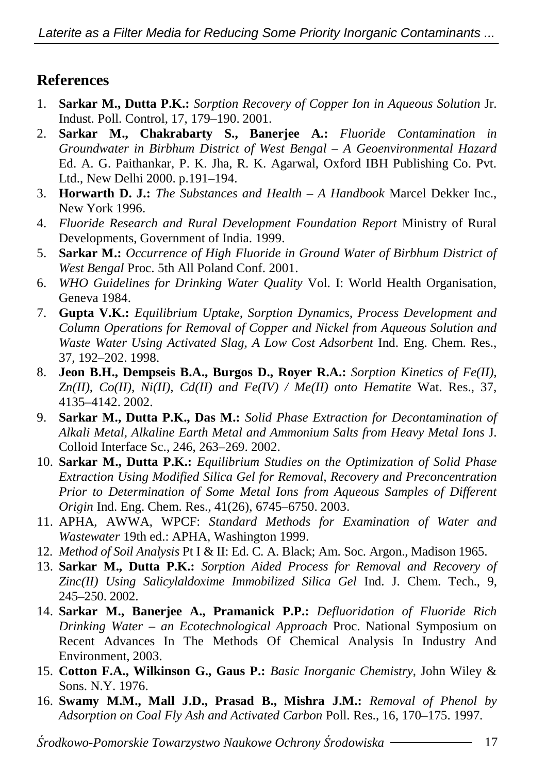# **References**

- 1. **Sarkar M., Dutta P.K.:** *Sorption Recovery of Copper Ion in Aqueous Solution* Jr. Indust. Poll. Control, 17, 179–190. 2001.
- 2. **Sarkar M., Chakrabarty S., Banerjee A.:** *Fluoride Contamination in Groundwater in Birbhum District of West Bengal – A Geoenvironmental Hazard* Ed. A. G. Paithankar, P. K. Jha, R. K. Agarwal, Oxford IBH Publishing Co. Pvt. Ltd., New Delhi 2000. p.191–194.
- 3. **Horwarth D. J.:** *The Substances and Health A Handbook* Marcel Dekker Inc., New York 1996.
- 4. *Fluoride Research and Rural Development Foundation Report* Ministry of Rural Developments, Government of India. 1999.
- 5. **Sarkar M.:** *Occurrence of High Fluoride in Ground Water of Birbhum District of West Bengal* Proc. 5th All Poland Conf. 2001.
- 6. *WHO Guidelines for Drinking Water Quality* Vol. I: World Health Organisation, Geneva 1984.
- 7. **Gupta V.K.:** *Equilibrium Uptake, Sorption Dynamics, Process Development and Column Operations for Removal of Copper and Nickel from Aqueous Solution and Waste Water Using Activated Slag, A Low Cost Adsorbent* Ind. Eng. Chem. Res., 37, 192–202. 1998.
- 8. **Jeon B.H., Dempseis B.A., Burgos D., Royer R.A.:** *Sorption Kinetics of Fe(II), Zn(II), Co(II), Ni(II), Cd(II) and Fe(IV) / Me(II) onto Hematite* Wat. Res., 37, 4135–4142. 2002.
- 9. **Sarkar M., Dutta P.K., Das M.:** *Solid Phase Extraction for Decontamination of Alkali Metal, Alkaline Earth Metal and Ammonium Salts from Heavy Metal Ions* J. Colloid Interface Sc., 246, 263–269. 2002.
- 10. **Sarkar M., Dutta P.K.:** *Equilibrium Studies on the Optimization of Solid Phase Extraction Using Modified Silica Gel for Removal, Recovery and Preconcentration Prior to Determination of Some Metal Ions from Aqueous Samples of Different Origin* Ind. Eng. Chem. Res., 41(26), 6745–6750. 2003.
- 11. APHA, AWWA, WPCF: *Standard Methods for Examination of Water and Wastewater* 19th ed.: APHA, Washington 1999.
- 12. *Method of Soil Analysis* Pt I & II: Ed. C. A. Black; Am. Soc. Argon., Madison 1965.
- 13. **Sarkar M., Dutta P.K.:** *Sorption Aided Process for Removal and Recovery of Zinc(II) Using Salicylaldoxime Immobilized Silica Gel* Ind. J. Chem. Tech., 9, 245–250. 2002.
- 14. **Sarkar M., Banerjee A., Pramanick P.P.:** *Defluoridation of Fluoride Rich Drinking Water – an Ecotechnological Approach* Proc. National Symposium on Recent Advances In The Methods Of Chemical Analysis In Industry And Environment, 2003.
- 15. **Cotton F.A., Wilkinson G., Gaus P.:** *Basic Inorganic Chemistry*, John Wiley & Sons. N.Y. 1976.
- 16. **Swamy M.M., Mall J.D., Prasad B., Mishra J.M.:** *Removal of Phenol by Adsorption on Coal Fly Ash and Activated Carbon* Poll. Res., 16, 170–175. 1997.

Ś*rodkowo-Pomorskie Towarzystwo Naukowe Ochrony* Ś*rodowiska* 17